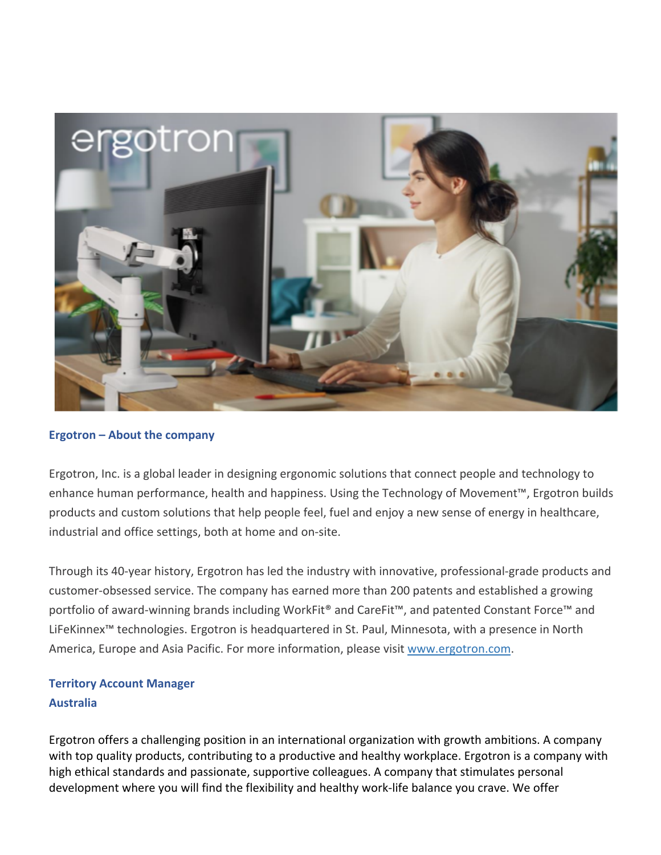

#### **Ergotron – About the company**

Ergotron, Inc. is a global leader in designing ergonomic solutions that connect people and technology to enhance human performance, health and happiness. Using the Technology of Movement™, Ergotron builds products and custom solutions that help people feel, fuel and enjoy a new sense of energy in healthcare, industrial and office settings, both at home and on-site.

Through its 40-year history, Ergotron has led the industry with innovative, professional-grade products and customer-obsessed service. The company has earned more than 200 patents and established a growing portfolio of award-winning brands including WorkFit<sup>®</sup> and CareFit™, and patented Constant Force™ and LiFeKinnex™ technologies. Ergotron is headquartered in St. Paul, Minnesota, with a presence in North America, Europe and Asia Pacific. For more information, please visit www.ergotron.com.

# **Territory Account Manager Australia**

Ergotron offers a challenging position in an international organization with growth ambitions. A company with top quality products, contributing to a productive and healthy workplace. Ergotron is a company with high ethical standards and passionate, supportive colleagues. A company that stimulates personal development where you will find the flexibility and healthy work-life balance you crave. We offer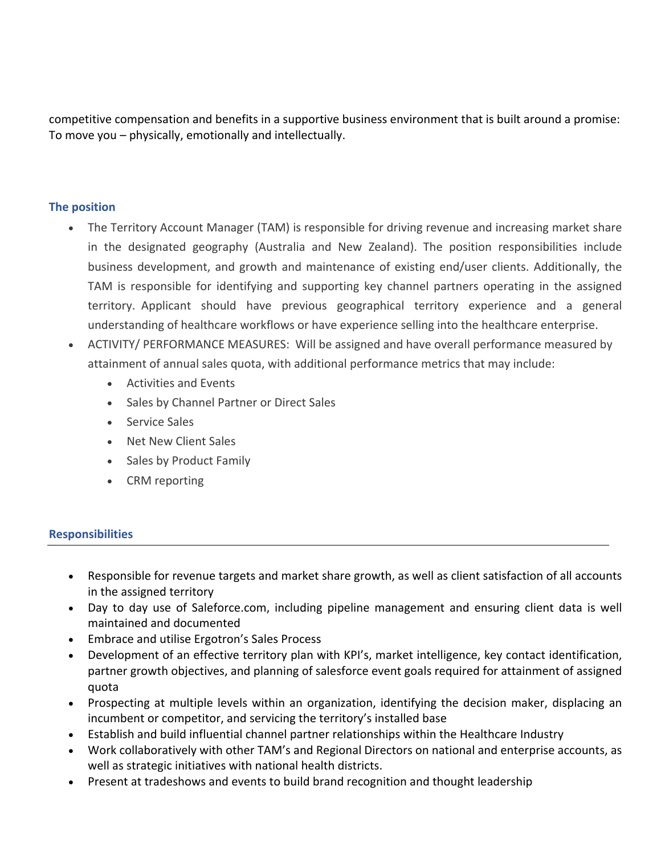competitive compensation and benefits in a supportive business environment that is built around a promise: To move you – physically, emotionally and intellectually.

#### **The position**

- The Territory Account Manager (TAM) is responsible for driving revenue and increasing market share in the designated geography (Australia and New Zealand). The position responsibilities include business development, and growth and maintenance of existing end/user clients. Additionally, the TAM is responsible for identifying and supporting key channel partners operating in the assigned territory. Applicant should have previous geographical territory experience and a general understanding of healthcare workflows or have experience selling into the healthcare enterprise.
- ACTIVITY/ PERFORMANCE MEASURES: Will be assigned and have overall performance measured by attainment of annual sales quota, with additional performance metrics that may include:
	- Activities and Events
	- Sales by Channel Partner or Direct Sales
	- Service Sales
	- Net New Client Sales
	- Sales by Product Family
	- CRM reporting

## **Responsibilities**

- Responsible for revenue targets and market share growth, as well as client satisfaction of all accounts in the assigned territory
- Day to day use of Saleforce.com, including pipeline management and ensuring client data is well maintained and documented
- Embrace and utilise Ergotron's Sales Process
- Development of an effective territory plan with KPI's, market intelligence, key contact identification, partner growth objectives, and planning of salesforce event goals required for attainment of assigned quota
- Prospecting at multiple levels within an organization, identifying the decision maker, displacing an incumbent or competitor, and servicing the territory's installed base
- Establish and build influential channel partner relationships within the Healthcare Industry
- Work collaboratively with other TAM's and Regional Directors on national and enterprise accounts, as well as strategic initiatives with national health districts.
- Present at tradeshows and events to build brand recognition and thought leadership